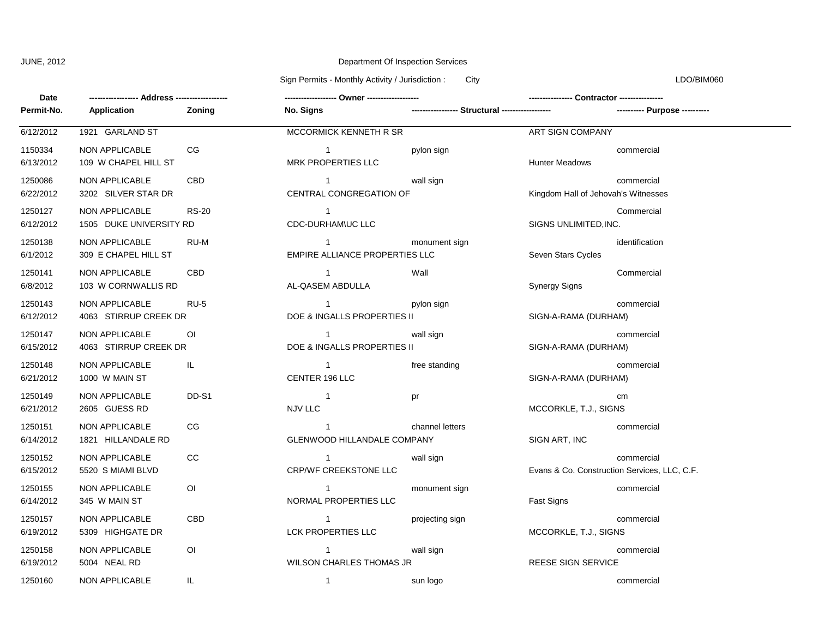## JUNE, 2012 **Department Of Inspection Services** Department Of Inspection Services

Sign Permits - Monthly Activity / Jurisdiction : City Communication : City LDO/BIM060

| Date                 |                                           |                |                                               |                 |                                     |                                                            |
|----------------------|-------------------------------------------|----------------|-----------------------------------------------|-----------------|-------------------------------------|------------------------------------------------------------|
| Permit-No.           | <b>Application</b>                        | Zoning         | No. Signs                                     |                 |                                     | ---------- Purpose ----------                              |
| 6/12/2012            | 1921 GARLAND ST                           |                | MCCORMICK KENNETH R SR                        |                 | <b>ART SIGN COMPANY</b>             |                                                            |
| 1150334<br>6/13/2012 | NON APPLICABLE<br>109 W CHAPEL HILL ST    | CG             | $\overline{1}$<br><b>MRK PROPERTIES LLC</b>   | pylon sign      | <b>Hunter Meadows</b>               | commercial                                                 |
| 1250086<br>6/22/2012 | NON APPLICABLE<br>3202 SILVER STAR DR     | CBD            | $\overline{1}$<br>CENTRAL CONGREGATION OF     | wall sign       | Kingdom Hall of Jehovah's Witnesses | commercial                                                 |
| 1250127<br>6/12/2012 | NON APPLICABLE<br>1505 DUKE UNIVERSITY RD | <b>RS-20</b>   | $\mathbf{1}$<br>CDC-DURHAM\UC LLC             |                 | SIGNS UNLIMITED, INC.               | Commercial                                                 |
| 1250138<br>6/1/2012  | NON APPLICABLE<br>309 E CHAPEL HILL ST    | RU-M           | $\mathbf 1$<br>EMPIRE ALLIANCE PROPERTIES LLC | monument sign   | Seven Stars Cycles                  | identification                                             |
| 1250141<br>6/8/2012  | NON APPLICABLE<br>103 W CORNWALLIS RD     | CBD            | $\mathbf{1}$<br>AL-QASEM ABDULLA              | Wall            | <b>Synergy Signs</b>                | Commercial                                                 |
| 1250143<br>6/12/2012 | NON APPLICABLE<br>4063 STIRRUP CREEK DR   | <b>RU-5</b>    | $\mathbf{1}$<br>DOE & INGALLS PROPERTIES II   | pylon sign      | SIGN-A-RAMA (DURHAM)                | commercial                                                 |
| 1250147<br>6/15/2012 | NON APPLICABLE<br>4063 STIRRUP CREEK DR   | O <sub>l</sub> | $\mathbf{1}$<br>DOE & INGALLS PROPERTIES II   | wall sign       | SIGN-A-RAMA (DURHAM)                | commercial                                                 |
| 1250148<br>6/21/2012 | NON APPLICABLE<br>1000 W MAIN ST          | IL.            | $\mathbf{1}$<br>CENTER 196 LLC                | free standing   | SIGN-A-RAMA (DURHAM)                | commercial                                                 |
| 1250149<br>6/21/2012 | NON APPLICABLE<br>2605 GUESS RD           | DD-S1          | $\overline{1}$<br>NJV LLC                     | pr              | MCCORKLE, T.J., SIGNS               | cm                                                         |
| 1250151<br>6/14/2012 | NON APPLICABLE<br>1821 HILLANDALE RD      | CG             | $\mathbf{1}$<br>GLENWOOD HILLANDALE COMPANY   | channel letters | SIGN ART, INC                       | commercial                                                 |
| 1250152<br>6/15/2012 | NON APPLICABLE<br>5520 S MIAMI BLVD       | CC             | $\mathbf{1}$<br><b>CRP/WF CREEKSTONE LLC</b>  | wall sign       |                                     | commercial<br>Evans & Co. Construction Services, LLC, C.F. |
| 1250155<br>6/14/2012 | NON APPLICABLE<br>345 W MAIN ST           | O <sub>1</sub> | $\overline{1}$<br>NORMAL PROPERTIES LLC       | monument sign   | Fast Signs                          | commercial                                                 |
| 1250157<br>6/19/2012 | NON APPLICABLE<br>5309 HIGHGATE DR        | CBD            | $\mathbf{1}$<br>LCK PROPERTIES LLC            | projecting sign | MCCORKLE, T.J., SIGNS               | commercial                                                 |
| 1250158<br>6/19/2012 | NON APPLICABLE<br>5004 NEAL RD            | ΟI             | $\mathbf{1}$<br>WILSON CHARLES THOMAS JR      | wall sign       | <b>REESE SIGN SERVICE</b>           | commercial                                                 |
| 1250160              | NON APPLICABLE                            | IL.            | $\mathbf{1}$                                  | sun logo        |                                     | commercial                                                 |